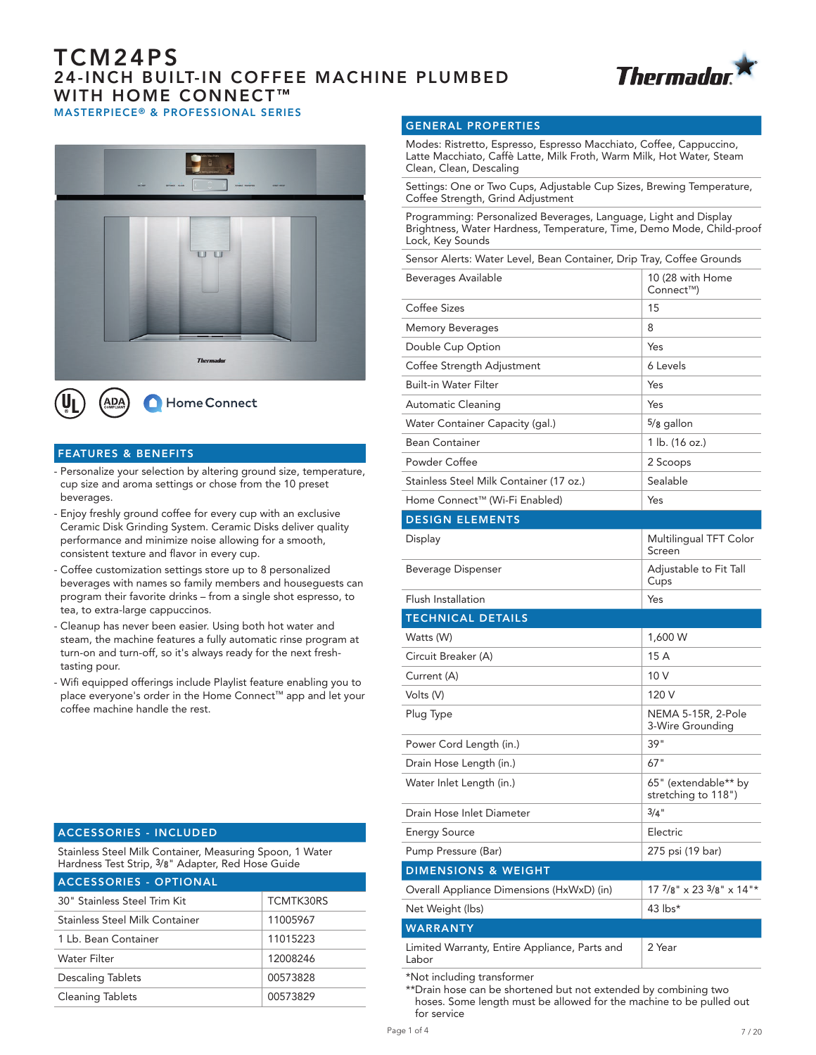# TCM24PS 24-INCH BUILT-IN COFFEE MACHINE PLUMBED WITH HOME CONNECT<sup>™</sup> MASTERPIECE® & PROFESSIONAL SERIES





#### FEATURES & BENEFITS

- Personalize your selection by altering ground size, temperature, cup size and aroma settings or chose from the 10 preset beverages.
- Enjoy freshly ground coffee for every cup with an exclusive Ceramic Disk Grinding System. Ceramic Disks deliver quality performance and minimize noise allowing for a smooth, consistent texture and flavor in every cup.
- Coffee customization settings store up to 8 personalized beverages with names so family members and houseguests can program their favorite drinks – from a single shot espresso, to tea, to extra-large cappuccinos.
- Cleanup has never been easier. Using both hot water and steam, the machine features a fully automatic rinse program at turn-on and turn-off, so it's always ready for the next freshtasting pour.
- Wifi equipped offerings include Playlist feature enabling you to place everyone's order in the Home Connect™ app and let your coffee machine handle the rest.

#### ACCESSORIES - INCLUDED

Stainless Steel Milk Container, Measuring Spoon, 1 Water Hardness Test Strip, 3/8" Adapter, Red Hose Guide

| <b>ACCESSORIES - OPTIONAL</b>  |           |
|--------------------------------|-----------|
| 30" Stainless Steel Trim Kit   | TCMTK30RS |
| Stainless Steel Milk Container | 11005967  |
| 1 Lb. Bean Container           | 11015223  |
| <b>Water Filter</b>            | 12008246  |
| <b>Descaling Tablets</b>       | 00573828  |
| <b>Cleaning Tablets</b>        | 00573829  |

#### GENERAL PROPERTIES

Modes: Ristretto, Espresso, Espresso Macchiato, Coffee, Cappuccino, Latte Macchiato, Caffè Latte, Milk Froth, Warm Milk, Hot Water, Steam Clean, Clean, Descaling

Settings: One or Two Cups, Adjustable Cup Sizes, Brewing Temperature, Coffee Strength, Grind Adjustment

Programming: Personalized Beverages, Language, Light and Display Brightness, Water Hardness, Temperature, Time, Demo Mode, Child-proof Lock, Key Sounds

| Sensor Alerts: Water Level, Bean Container, Drip Tray, Coffee Grounds |                                             |
|-----------------------------------------------------------------------|---------------------------------------------|
| Beverages Available                                                   | 10 (28 with Home<br>Connect™)               |
| Coffee Sizes                                                          | 15                                          |
| <b>Memory Beverages</b>                                               | 8                                           |
| Double Cup Option                                                     | Yes                                         |
| Coffee Strength Adjustment                                            | 6 Levels                                    |
| <b>Built-in Water Filter</b>                                          | Yes                                         |
| Automatic Cleaning                                                    | Yes                                         |
| Water Container Capacity (gal.)                                       | $5/8$ gallon                                |
| <b>Bean Container</b>                                                 | 1 lb. (16 oz.)                              |
| Powder Coffee                                                         | 2 Scoops                                    |
| Stainless Steel Milk Container (17 oz.)                               | Sealable                                    |
| Home Connect™ (Wi-Fi Enabled)                                         | Yes                                         |
| <b>DESIGN ELEMENTS</b>                                                |                                             |
| Display                                                               | Multilingual TFT Color<br>Screen            |
| Beverage Dispenser                                                    | Adjustable to Fit Tall<br>Cups              |
| Flush Installation                                                    | Yes                                         |
|                                                                       |                                             |
| <b>TECHNICAL DETAILS</b>                                              |                                             |
| Watts (W)                                                             | 1,600 W                                     |
| Circuit Breaker (A)                                                   | 15 A                                        |
| Current (A)                                                           | 10 V                                        |
| Volts (V)                                                             | 120 V                                       |
| Plug Type                                                             | NEMA 5-15R, 2-Pole<br>3-Wire Grounding      |
| Power Cord Length (in.)                                               | 39"                                         |
| Drain Hose Length (in.)                                               | 67"                                         |
| Water Inlet Length (in.)                                              | 65" (extendable** by<br>stretching to 118") |
| Drain Hose Inlet Diameter                                             | $3/4$ "                                     |
| <b>Energy Source</b>                                                  | Electric                                    |
| Pump Pressure (Bar)                                                   | 275 psi (19 bar)                            |
| <b>DIMENSIONS &amp; WEIGHT</b>                                        |                                             |
| Overall Appliance Dimensions (HxWxD) (in)                             | $177/8$ " x 23 $3/8$ " x 14"*               |
| Net Weight (lbs)                                                      | 43 lbs*                                     |
| <b>WARRANTY</b>                                                       |                                             |

\*Not including transformer

\*\*Drain hose can be shortened but not extended by combining two hoses. Some length must be allowed for the machine to be pulled out for service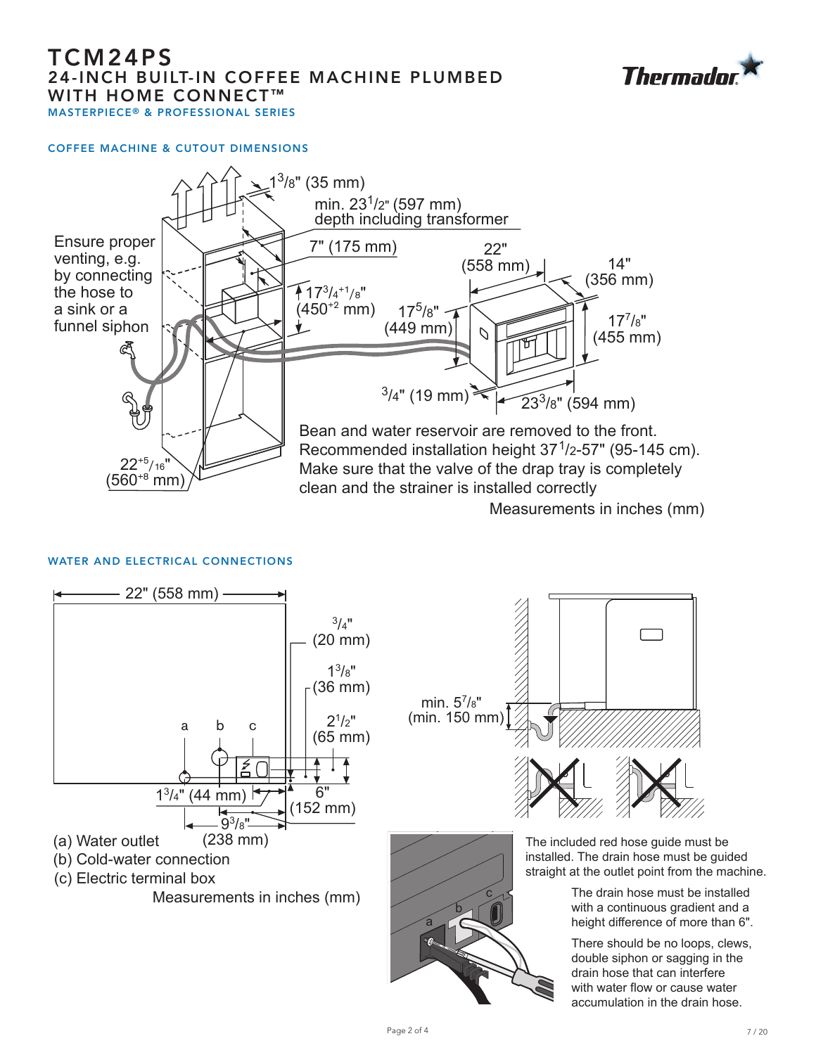# TCM24PS 24-INCH BUILT-IN COFFEE MACHINE PLUMBED WITH HOME CONNECT<sup>™</sup> MASTERPIECE® & PROFESSIONAL SERIES

## COFFEE MACHINE & CUTOUT DIMENSIONS

# $22^{+5}/16$  $(560^{+8} \text{ mm})$ clean and the strainer is installed correctly

# WATER AND ELECTRICAL CONNECTIONS





![](_page_1_Picture_7.jpeg)

Measurements in inches (mm)

There should be no loops, clews, double siphon or sagging in the drain hose that can interfere with water flow or cause water accumulation in the drain hose.

![](_page_1_Picture_9.jpeg)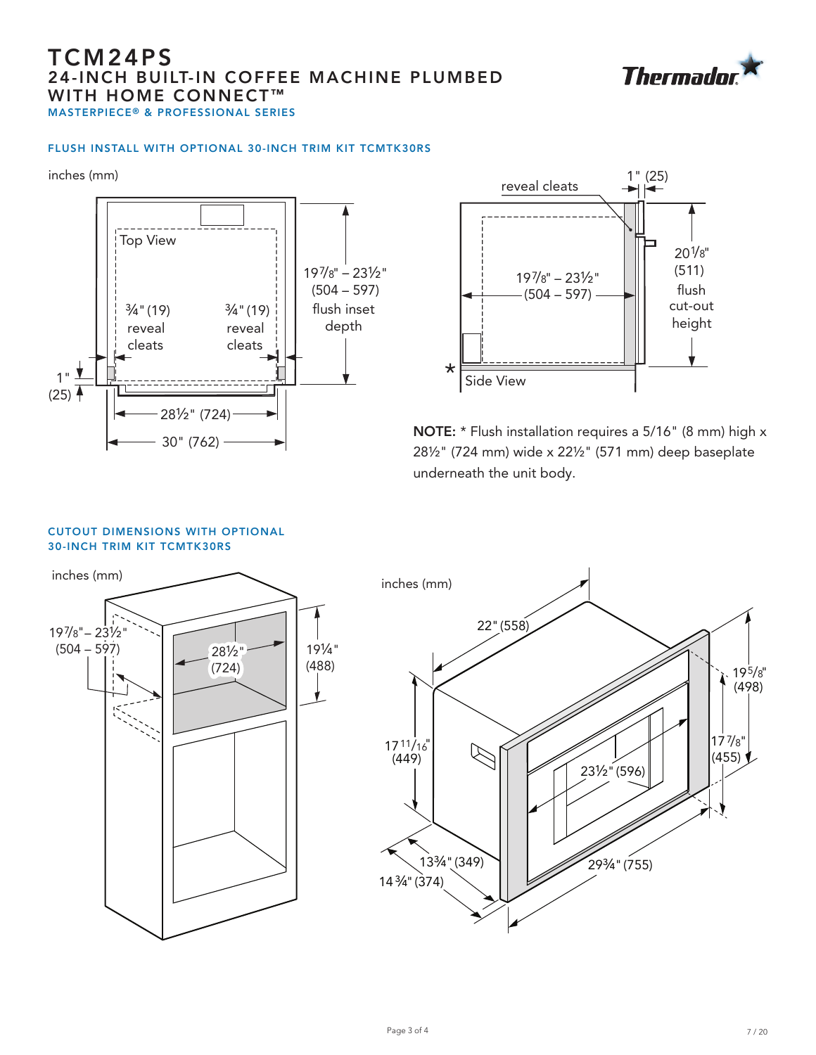# TCM24PS 24-INCH BUILT-IN COFFEE MACHINE PLUMBED WITH HOME CONNECT<sup>™</sup> MASTERPIECE® & PROFESSIONAL SERIES

## FLUSH INSTALL WITH OPTIONAL 30-INCH TRIM KIT TCMTK30RS

inches (mm) inches (mm)

![](_page_2_Figure_4.jpeg)

![](_page_2_Figure_5.jpeg)

NOTE: \* Flush installation requires a 5/16" (8 mm) high x 28½" (724 mm) wide x 22½" (571 mm) deep baseplate underneath the unit body.

#### CUTOUT DIMENSIONS WITH OPTIONAL 30-INCH TRIM KIT TCMTK30RS

![](_page_2_Figure_8.jpeg)

![](_page_2_Picture_9.jpeg)